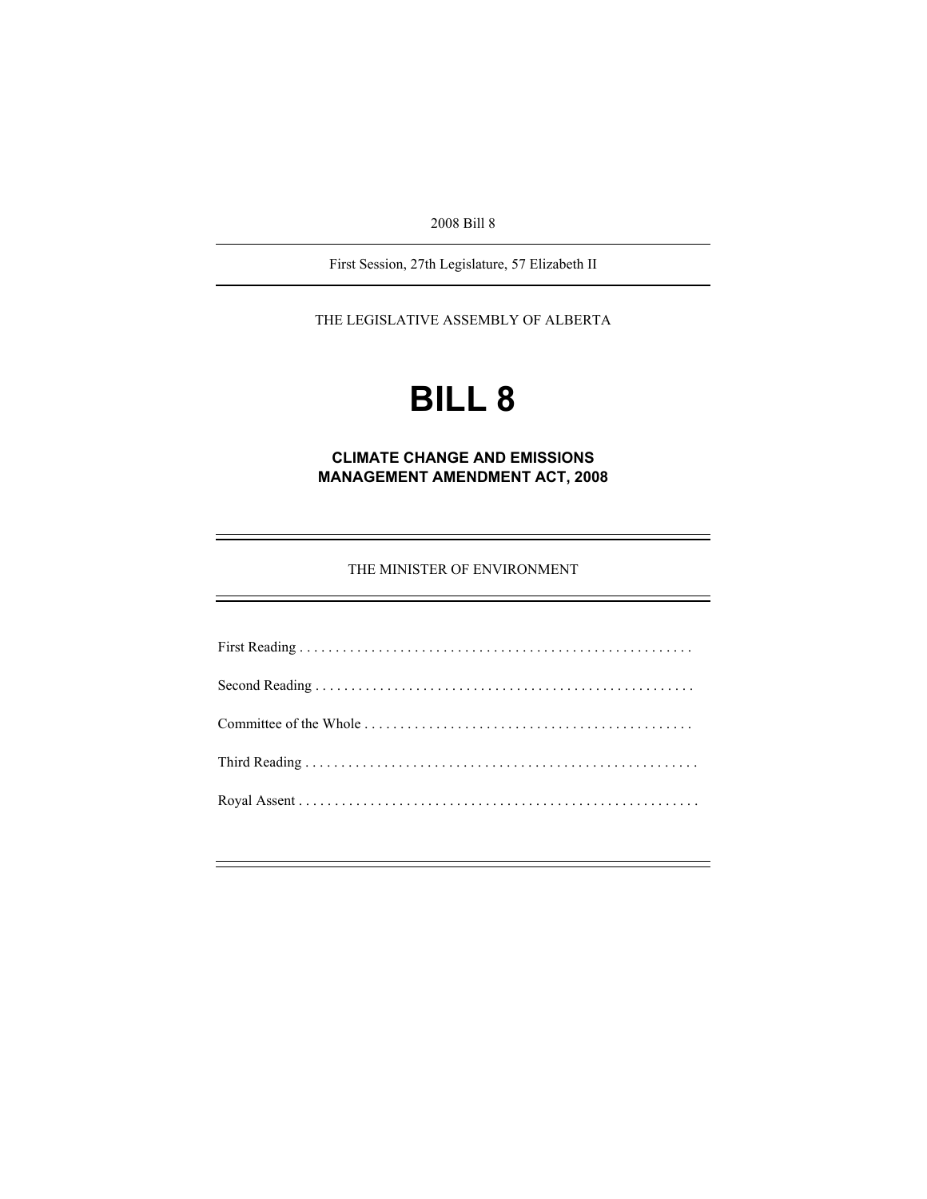2008 Bill 8

First Session, 27th Legislature, 57 Elizabeth II

THE LEGISLATIVE ASSEMBLY OF ALBERTA

# **BILL 8**

**CLIMATE CHANGE AND EMISSIONS MANAGEMENT AMENDMENT ACT, 2008** 

THE MINISTER OF ENVIRONMENT

e<br>H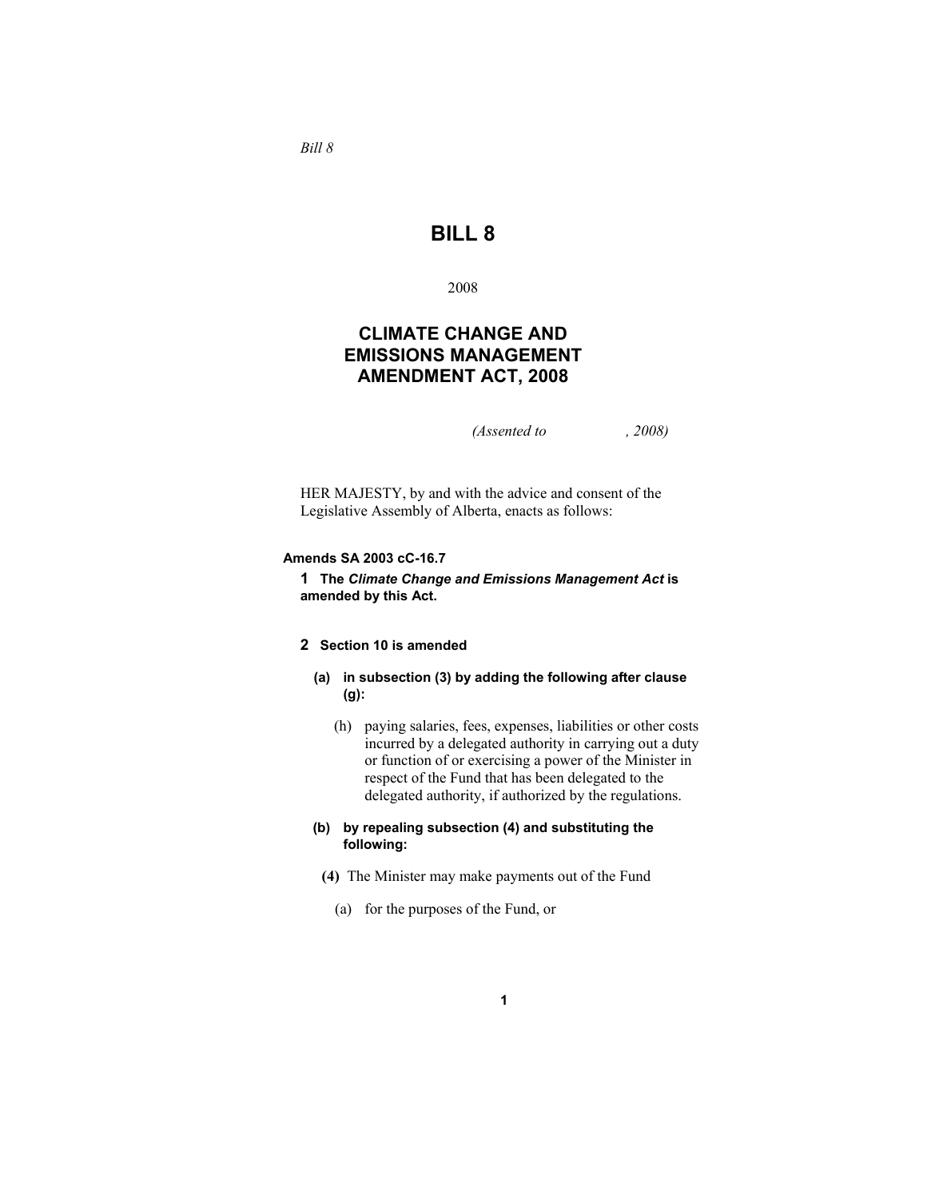**BILL 8** 

2008

# **CLIMATE CHANGE AND EMISSIONS MANAGEMENT AMENDMENT ACT, 2008**

*(Assented to , 2008)* 

HER MAJESTY, by and with the advice and consent of the Legislative Assembly of Alberta, enacts as follows:

#### **Amends SA 2003 cC-16.7**

**1 The** *Climate Change and Emissions Management Act* **is amended by this Act.**

## **2 Section 10 is amended**

- **(a) in subsection (3) by adding the following after clause (g):**
	- (h) paying salaries, fees, expenses, liabilities or other costs incurred by a delegated authority in carrying out a duty or function of or exercising a power of the Minister in respect of the Fund that has been delegated to the delegated authority, if authorized by the regulations.

#### **(b) by repealing subsection (4) and substituting the following:**

- **(4)** The Minister may make payments out of the Fund
	- (a) for the purposes of the Fund, or

*Bill 8*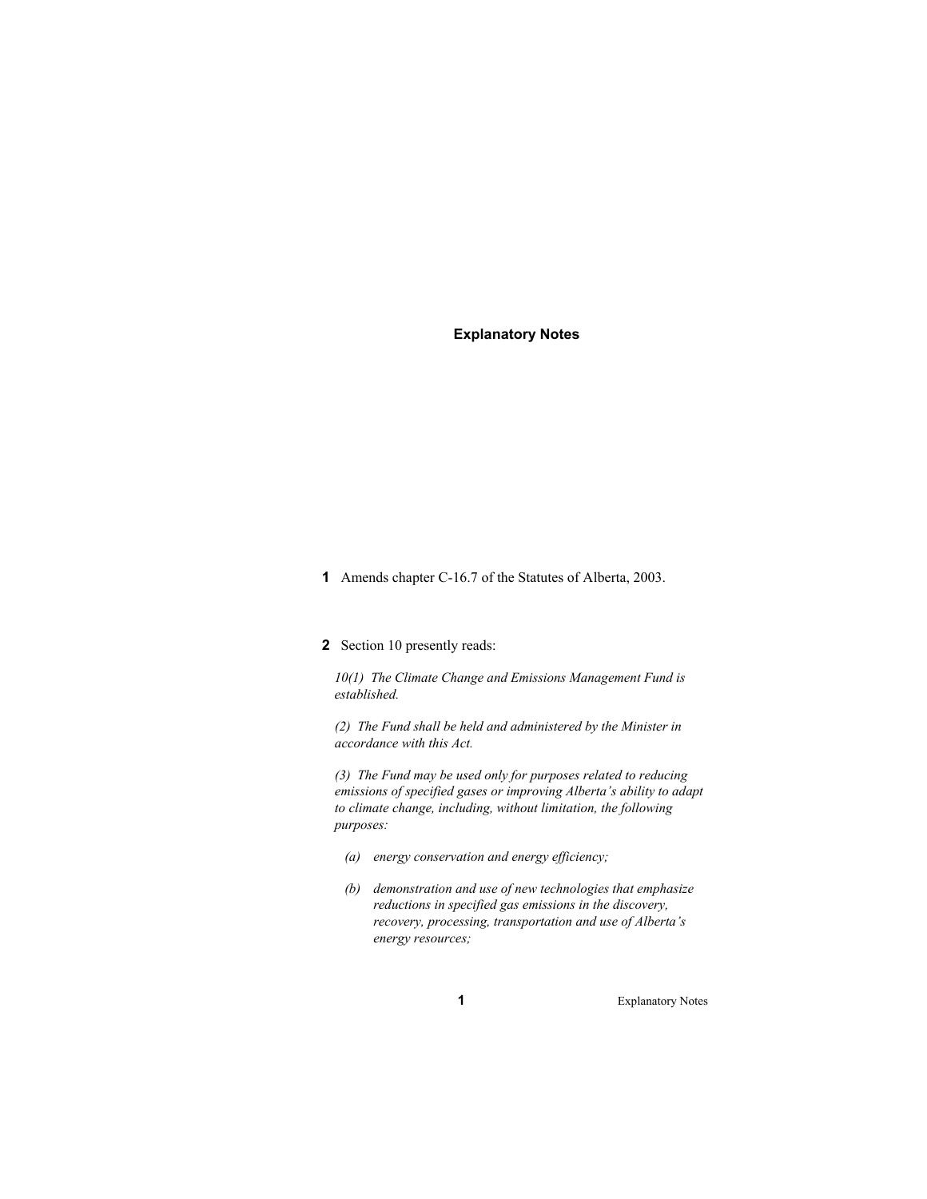#### **Explanatory Notes**

- **1** Amends chapter C-16.7 of the Statutes of Alberta, 2003.
- **2** Section 10 presently reads:

*10(1) The Climate Change and Emissions Management Fund is established.* 

*(2) The Fund shall be held and administered by the Minister in accordance with this Act.* 

*(3) The Fund may be used only for purposes related to reducing emissions of specified gases or improving Alberta's ability to adapt to climate change, including, without limitation, the following purposes:* 

- *(a) energy conservation and energy efficiency;*
- *(b) demonstration and use of new technologies that emphasize reductions in specified gas emissions in the discovery, recovery, processing, transportation and use of Alberta's energy resources;*

**1** Explanatory Notes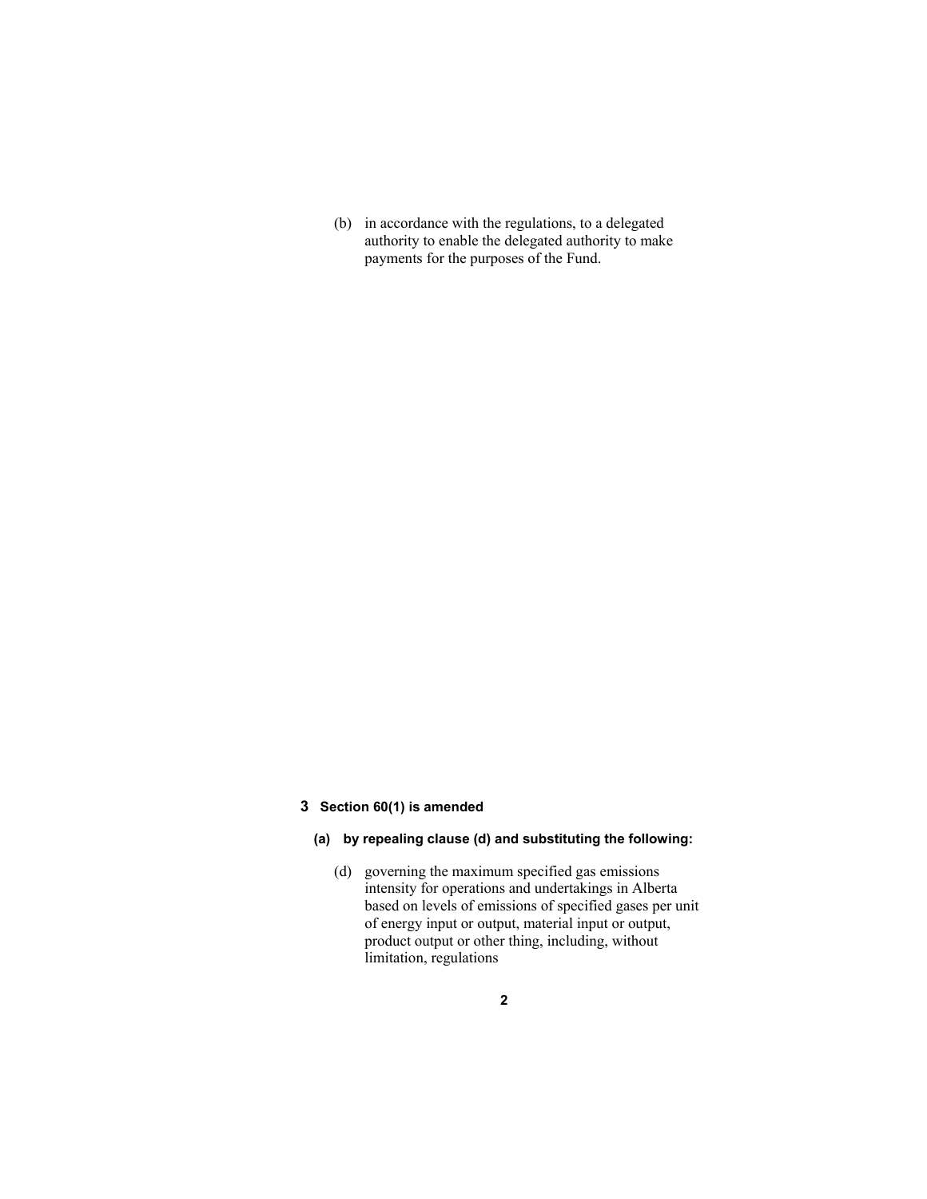(b) in accordance with the regulations, to a delegated authority to enable the delegated authority to make payments for the purposes of the Fund.

#### **3 Section 60(1) is amended**

## **(a) by repealing clause (d) and substituting the following:**

 (d) governing the maximum specified gas emissions intensity for operations and undertakings in Alberta based on levels of emissions of specified gases per unit of energy input or output, material input or output, product output or other thing, including, without limitation, regulations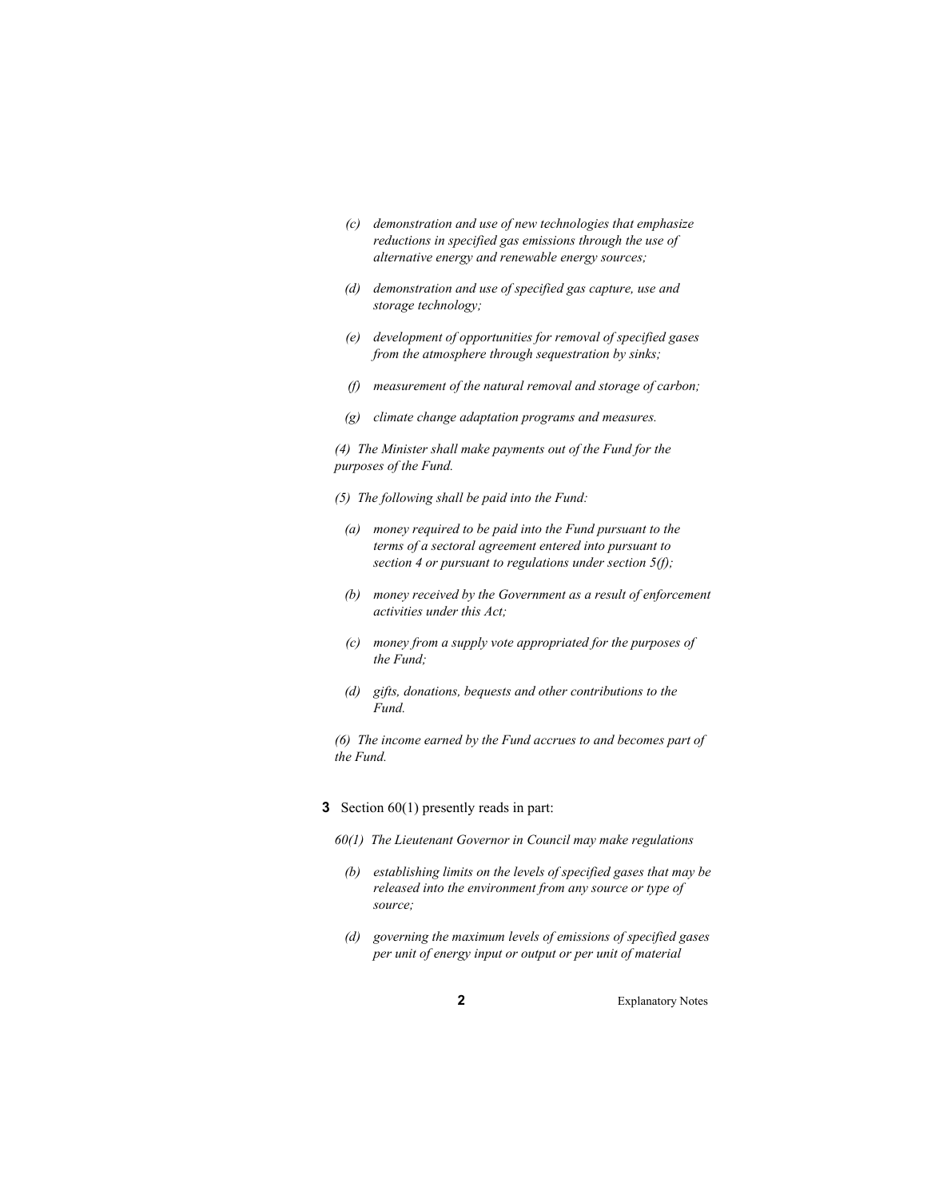- *(c) demonstration and use of new technologies that emphasize reductions in specified gas emissions through the use of alternative energy and renewable energy sources;*
- *(d) demonstration and use of specified gas capture, use and storage technology;*
- *(e) development of opportunities for removal of specified gases from the atmosphere through sequestration by sinks;*
- *(f) measurement of the natural removal and storage of carbon;*
- *(g) climate change adaptation programs and measures.*

*(4) The Minister shall make payments out of the Fund for the purposes of the Fund.* 

- *(5) The following shall be paid into the Fund:*
- *(a) money required to be paid into the Fund pursuant to the terms of a sectoral agreement entered into pursuant to section 4 or pursuant to regulations under section 5(f);*
- *(b) money received by the Government as a result of enforcement activities under this Act;*
- *(c) money from a supply vote appropriated for the purposes of the Fund;*
- *(d) gifts, donations, bequests and other contributions to the Fund.*

*(6) The income earned by the Fund accrues to and becomes part of the Fund.* 

- **3** Section 60(1) presently reads in part:
	- *60(1) The Lieutenant Governor in Council may make regulations*
	- *(b) establishing limits on the levels of specified gases that may be released into the environment from any source or type of source;*
	- *(d) governing the maximum levels of emissions of specified gases per unit of energy input or output or per unit of material*

**2** Explanatory Notes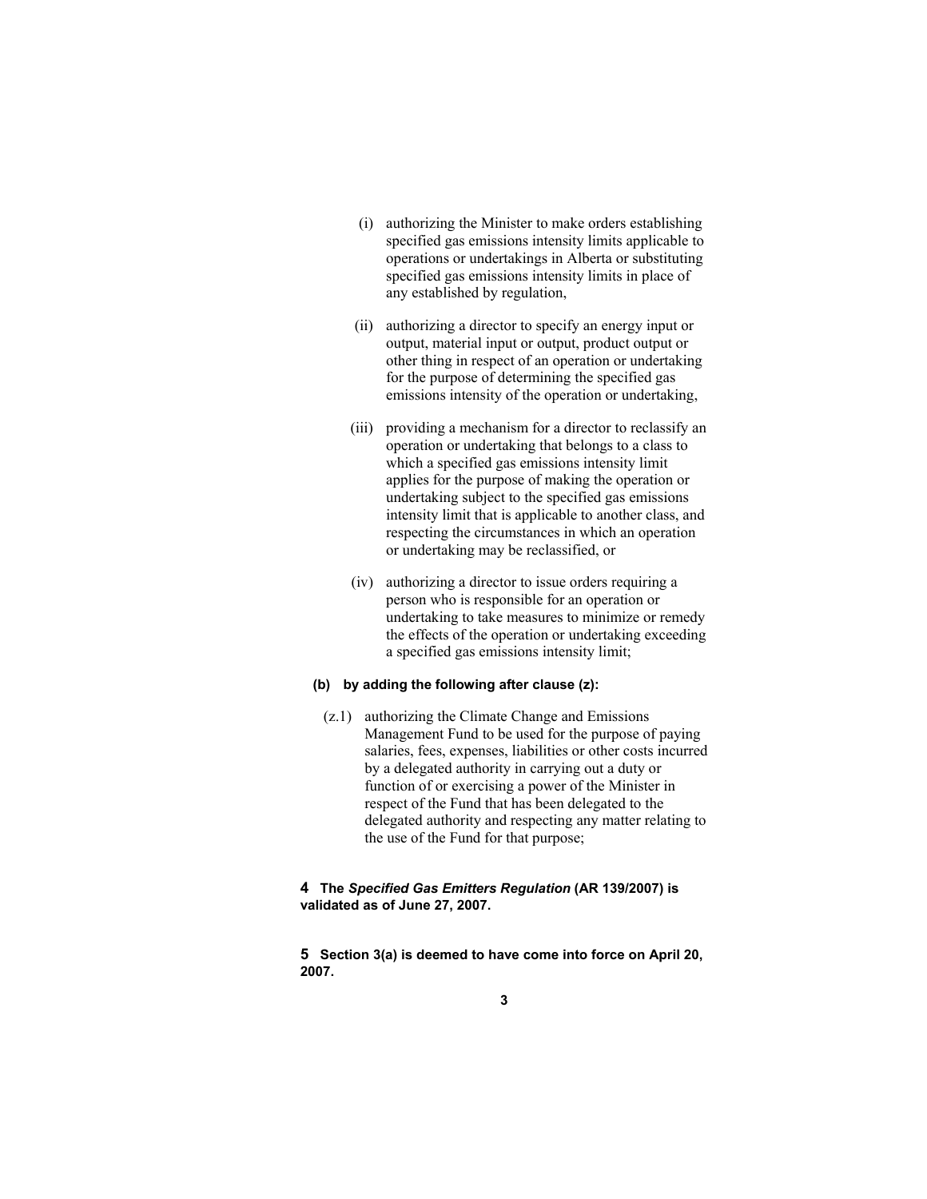- (i) authorizing the Minister to make orders establishing specified gas emissions intensity limits applicable to operations or undertakings in Alberta or substituting specified gas emissions intensity limits in place of any established by regulation,
- (ii) authorizing a director to specify an energy input or output, material input or output, product output or other thing in respect of an operation or undertaking for the purpose of determining the specified gas emissions intensity of the operation or undertaking,
- (iii) providing a mechanism for a director to reclassify an operation or undertaking that belongs to a class to which a specified gas emissions intensity limit applies for the purpose of making the operation or undertaking subject to the specified gas emissions intensity limit that is applicable to another class, and respecting the circumstances in which an operation or undertaking may be reclassified, or
- (iv) authorizing a director to issue orders requiring a person who is responsible for an operation or undertaking to take measures to minimize or remedy the effects of the operation or undertaking exceeding a specified gas emissions intensity limit;

#### **(b) by adding the following after clause (z):**

 (z.1) authorizing the Climate Change and Emissions Management Fund to be used for the purpose of paying salaries, fees, expenses, liabilities or other costs incurred by a delegated authority in carrying out a duty or function of or exercising a power of the Minister in respect of the Fund that has been delegated to the delegated authority and respecting any matter relating to the use of the Fund for that purpose;

#### **4 The** *Specified Gas Emitters Regulation* **(AR 139/2007) is validated as of June 27, 2007.**

**5 Section 3(a) is deemed to have come into force on April 20, 2007.**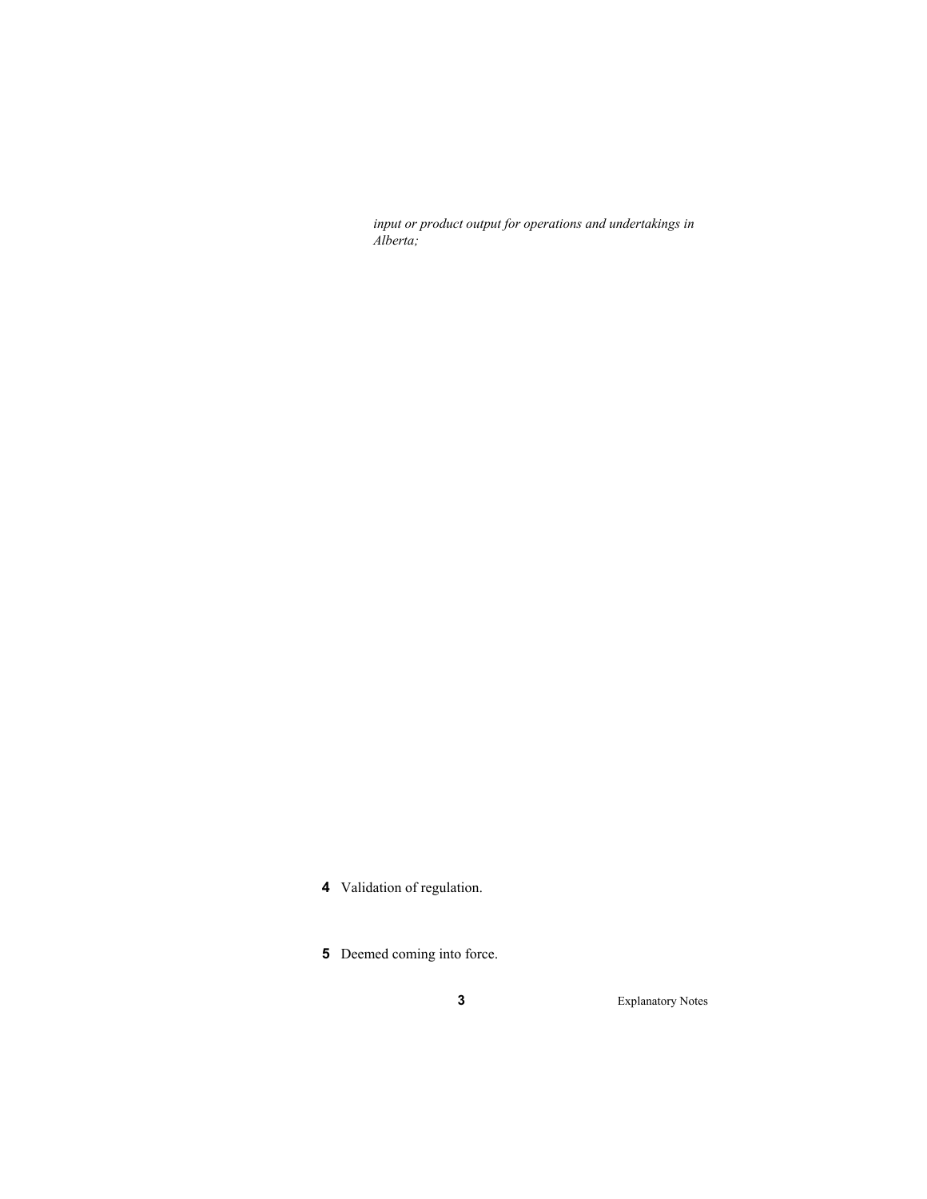*input or product output for operations and undertakings in Alberta;* 

- **4** Validation of regulation.
- **5** Deemed coming into force.

**3** Explanatory Notes